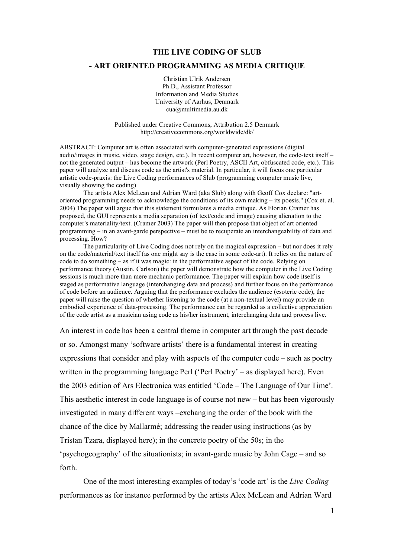## **THE LIVE CODING OF SLUB**

## **- ART ORIENTED PROGRAMMING AS MEDIA CRITIQUE**

Christian Ulrik Andersen Ph.D., Assistant Professor Information and Media Studies University of Aarhus, Denmark cua@multimedia.au.dk

Published under Creative Commons, Attribution 2.5 Denmark http://creativecommons.org/worldwide/dk/

ABSTRACT: Computer art is often associated with computer-generated expressions (digital audio/images in music, video, stage design, etc.). In recent computer art, however, the code-text itself – not the generated output – has become the artwork (Perl Poetry, ASCII Art, obfuscated code, etc.). This paper will analyze and discuss code as the artist's material. In particular, it will focus one particular artistic code-praxis: the Live Coding performances of Slub (programming computer music live, visually showing the coding)

The artists Alex McLean and Adrian Ward (aka Slub) along with Geoff Cox declare: "artoriented programming needs to acknowledge the conditions of its own making – its poesis." (Cox et. al. 2004) The paper will argue that this statement formulates a media critique. As Florian Cramer has proposed, the GUI represents a media separation (of text/code and image) causing alienation to the computer's materiality/text. (Cramer 2003) The paper will then propose that object of art oriented programming – in an avant-garde perspective – must be to recuperate an interchangeability of data and processing. How?

The particularity of Live Coding does not rely on the magical expression – but nor does it rely on the code/material/text itself (as one might say is the case in some code-art). It relies on the nature of code to do something – as if it was magic: in the performative aspect of the code. Relying on performance theory (Austin, Carlson) the paper will demonstrate how the computer in the Live Coding sessions is much more than mere mechanic performance. The paper will explain how code itself is staged as performative language (interchanging data and process) and further focus on the performance of code before an audience. Arguing that the performance excludes the audience (esoteric code), the paper will raise the question of whether listening to the code (at a non-textual level) may provide an embodied experience of data-processing. The performance can be regarded as a collective appreciation of the code artist as a musician using code as his/her instrument, interchanging data and process live.

An interest in code has been a central theme in computer art through the past decade or so. Amongst many 'software artists' there is a fundamental interest in creating expressions that consider and play with aspects of the computer code – such as poetry written in the programming language Perl ('Perl Poetry' – as displayed here). Even the 2003 edition of Ars Electronica was entitled 'Code – The Language of Our Time'. This aesthetic interest in code language is of course not new – but has been vigorously investigated in many different ways –exchanging the order of the book with the chance of the dice by Mallarmé; addressing the reader using instructions (as by Tristan Tzara, displayed here); in the concrete poetry of the 50s; in the 'psychogeography' of the situationists; in avant-garde music by John Cage – and so forth.

One of the most interesting examples of today's 'code art' is the *Live Coding* performances as for instance performed by the artists Alex McLean and Adrian Ward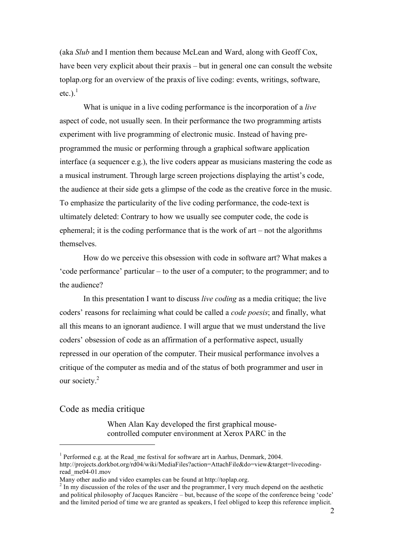(aka *Slub* and I mention them because McLean and Ward, along with Geoff Cox, have been very explicit about their praxis – but in general one can consult the website toplap.org for an overview of the praxis of live coding: events, writings, software, etc.). $<sup>1</sup>$ </sup>

What is unique in a live coding performance is the incorporation of a *live* aspect of code, not usually seen. In their performance the two programming artists experiment with live programming of electronic music. Instead of having preprogrammed the music or performing through a graphical software application interface (a sequencer e.g.), the live coders appear as musicians mastering the code as a musical instrument. Through large screen projections displaying the artist's code, the audience at their side gets a glimpse of the code as the creative force in the music. To emphasize the particularity of the live coding performance, the code-text is ultimately deleted: Contrary to how we usually see computer code, the code is ephemeral; it is the coding performance that is the work of art – not the algorithms themselves.

How do we perceive this obsession with code in software art? What makes a 'code performance' particular – to the user of a computer; to the programmer; and to the audience?

In this presentation I want to discuss *live coding* as a media critique; the live coders' reasons for reclaiming what could be called a *code poesis*; and finally, what all this means to an ignorant audience. I will argue that we must understand the live coders' obsession of code as an affirmation of a performative aspect, usually repressed in our operation of the computer. Their musical performance involves a critique of the computer as media and of the status of both programmer and user in our society.<sup>2</sup>

## Code as media critique

 $\overline{a}$ 

When Alan Kay developed the first graphical mousecontrolled computer environment at Xerox PARC in the

<sup>&</sup>lt;sup>1</sup> Performed e.g. at the Read me festival for software art in Aarhus, Denmark, 2004. http://projects.dorkbot.org/rd04/wiki/MediaFiles?action=AttachFile&do=view&target=livecodingread\_me04-01.mov<br>Many other audio and video examples can be found at http://toplap.org.

 $^2$  In my discussion of the roles of the user and the programmer, I very much depend on the aesthetic and political philosophy of Jacques Rancière – but, because of the scope of the conference being 'code' and the limited period of time we are granted as speakers, I feel obliged to keep this reference implicit.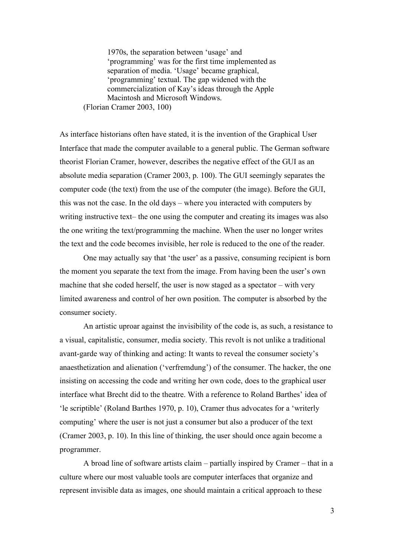1970s, the separation between 'usage' and 'programming' was for the first time implemented as separation of media. 'Usage' became graphical, 'programming' textual. The gap widened with the commercialization of Kay's ideas through the Apple Macintosh and Microsoft Windows. (Florian Cramer 2003, 100)

As interface historians often have stated, it is the invention of the Graphical User Interface that made the computer available to a general public. The German software theorist Florian Cramer, however, describes the negative effect of the GUI as an absolute media separation (Cramer 2003, p. 100). The GUI seemingly separates the computer code (the text) from the use of the computer (the image). Before the GUI, this was not the case. In the old days – where you interacted with computers by writing instructive text– the one using the computer and creating its images was also the one writing the text/programming the machine. When the user no longer writes the text and the code becomes invisible, her role is reduced to the one of the reader.

One may actually say that 'the user' as a passive, consuming recipient is born the moment you separate the text from the image. From having been the user's own machine that she coded herself, the user is now staged as a spectator – with very limited awareness and control of her own position. The computer is absorbed by the consumer society.

An artistic uproar against the invisibility of the code is, as such, a resistance to a visual, capitalistic, consumer, media society. This revolt is not unlike a traditional avant-garde way of thinking and acting: It wants to reveal the consumer society's anaesthetization and alienation ('verfremdung') of the consumer. The hacker, the one insisting on accessing the code and writing her own code, does to the graphical user interface what Brecht did to the theatre. With a reference to Roland Barthes' idea of 'le scriptible' (Roland Barthes 1970, p. 10), Cramer thus advocates for a 'writerly computing' where the user is not just a consumer but also a producer of the text (Cramer 2003, p. 10). In this line of thinking, the user should once again become a programmer.

A broad line of software artists claim – partially inspired by Cramer – that in a culture where our most valuable tools are computer interfaces that organize and represent invisible data as images, one should maintain a critical approach to these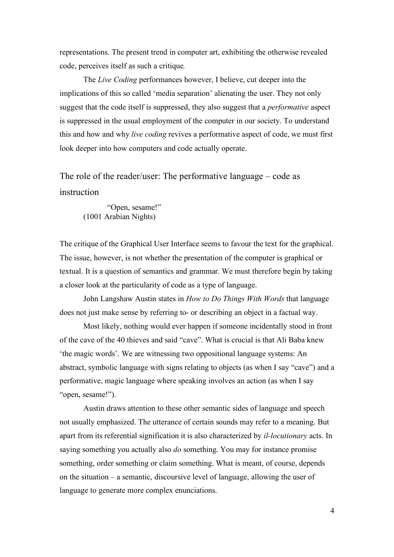representations. The present trend in computer art, exhibiting the otherwise revealed code, perceives itself as such a critique*.*

The *Live Coding* performances however, I believe, cut deeper into the implications of this so called 'media separation' alienating the user. They not only suggest that the code itself is suppressed, they also suggest that a *performative* aspect is suppressed in the usual employment of the computer in our society. To understand this and how and why *live coding* revives a performative aspect of code, we must first look deeper into how computers and code actually operate.

The role of the reader/user: The performative language – code as instruction

"Open, sesame!" (1001 Arabian Nights)

The critique of the Graphical User Interface seems to favour the text for the graphical. The issue, however, is not whether the presentation of the computer is graphical or textual. It is a question of semantics and grammar. We must therefore begin by taking a closer look at the particularity of code as a type of language.

John Langshaw Austin states in *How to Do Things With Words* that language does not just make sense by referring to- or describing an object in a factual way.

Most likely, nothing would ever happen if someone incidentally stood in front of the cave of the 40 thieves and said "cave". What is crucial is that Ali Baba knew 'the magic words'. We are witnessing two oppositional language systems: An abstract, symbolic language with signs relating to objects (as when I say "cave") and a performative, magic language where speaking involves an action (as when I say "open, sesame!").

Austin draws attention to these other semantic sides of language and speech not usually emphasized. The utterance of certain sounds may refer to a meaning. But apart from its referential signification it is also characterized by *il-locutionary* acts. In saying something you actually also *do* something. You may for instance promise something, order something or claim something. What is meant, of course, depends on the situation – a semantic, discoursive level of language, allowing the user of language to generate more complex enunciations.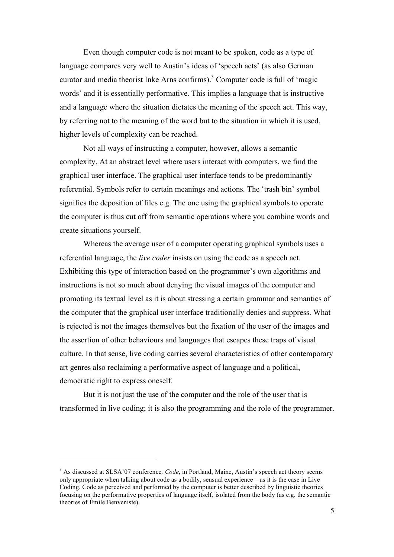Even though computer code is not meant to be spoken, code as a type of language compares very well to Austin's ideas of 'speech acts' (as also German curator and media theorist Inke Arns confirms). <sup>3</sup> Computer code is full of 'magic words' and it is essentially performative. This implies a language that is instructive and a language where the situation dictates the meaning of the speech act. This way, by referring not to the meaning of the word but to the situation in which it is used, higher levels of complexity can be reached.

Not all ways of instructing a computer, however, allows a semantic complexity. At an abstract level where users interact with computers, we find the graphical user interface. The graphical user interface tends to be predominantly referential. Symbols refer to certain meanings and actions. The 'trash bin' symbol signifies the deposition of files e.g. The one using the graphical symbols to operate the computer is thus cut off from semantic operations where you combine words and create situations yourself.

Whereas the average user of a computer operating graphical symbols uses a referential language, the *live coder* insists on using the code as a speech act. Exhibiting this type of interaction based on the programmer's own algorithms and instructions is not so much about denying the visual images of the computer and promoting its textual level as it is about stressing a certain grammar and semantics of the computer that the graphical user interface traditionally denies and suppress. What is rejected is not the images themselves but the fixation of the user of the images and the assertion of other behaviours and languages that escapes these traps of visual culture. In that sense, live coding carries several characteristics of other contemporary art genres also reclaiming a performative aspect of language and a political, democratic right to express oneself.

But it is not just the use of the computer and the role of the user that is transformed in live coding; it is also the programming and the role of the programmer.

 $\overline{a}$ 

<sup>3</sup> As discussed at SLSA'07 conference*, Code*, in Portland, Maine, Austin's speech act theory seems only appropriate when talking about code as a bodily, sensual experience – as it is the case in Live Coding. Code as perceived and performed by the computer is better described by linguistic theories focusing on the performative properties of language itself, isolated from the body (as e.g. the semantic theories of Émile Benveniste).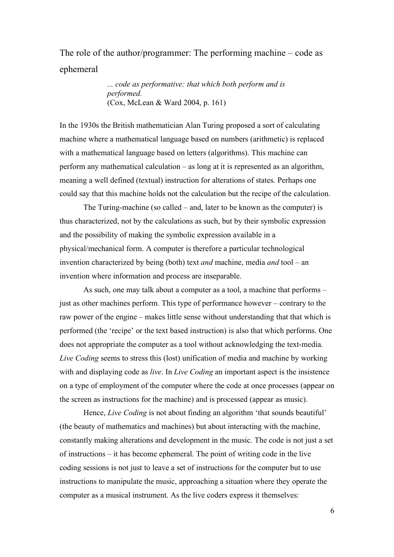## The role of the author/programmer: The performing machine – code as ephemeral

*... code as performative: that which both perform and is performed.* (Cox, McLean & Ward 2004, p. 161)

In the 1930s the British mathematician Alan Turing proposed a sort of calculating machine where a mathematical language based on numbers (arithmetic) is replaced with a mathematical language based on letters (algorithms). This machine can perform any mathematical calculation – as long at it is represented as an algorithm, meaning a well defined (textual) instruction for alterations of states. Perhaps one could say that this machine holds not the calculation but the recipe of the calculation.

The Turing-machine (so called – and, later to be known as the computer) is thus characterized, not by the calculations as such, but by their symbolic expression and the possibility of making the symbolic expression available in a physical/mechanical form. A computer is therefore a particular technological invention characterized by being (both) text *and* machine, media *and* tool – an invention where information and process are inseparable.

As such, one may talk about a computer as a tool, a machine that performs – just as other machines perform. This type of performance however – contrary to the raw power of the engine – makes little sense without understanding that that which is performed (the 'recipe' or the text based instruction) is also that which performs. One does not appropriate the computer as a tool without acknowledging the text-media. *Live Coding* seems to stress this (lost) unification of media and machine by working with and displaying code as *live*. In *Live Coding* an important aspect is the insistence on a type of employment of the computer where the code at once processes (appear on the screen as instructions for the machine) and is processed (appear as music).

Hence, *Live Coding* is not about finding an algorithm 'that sounds beautiful' (the beauty of mathematics and machines) but about interacting with the machine, constantly making alterations and development in the music. The code is not just a set of instructions – it has become ephemeral. The point of writing code in the live coding sessions is not just to leave a set of instructions for the computer but to use instructions to manipulate the music, approaching a situation where they operate the computer as a musical instrument. As the live coders express it themselves:

6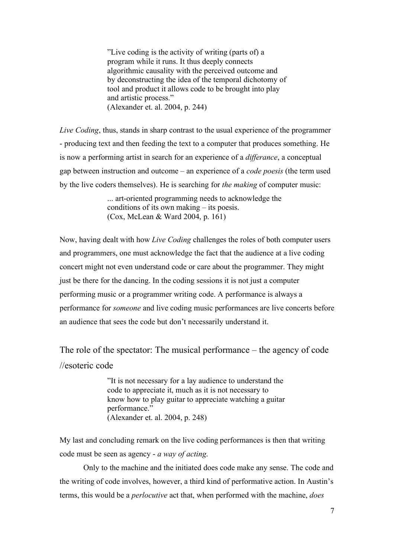"Live coding is the activity of writing (parts of) a program while it runs. It thus deeply connects algorithmic causality with the perceived outcome and by deconstructing the idea of the temporal dichotomy of tool and product it allows code to be brought into play and artistic process." (Alexander et. al. 2004, p. 244)

*Live Coding*, thus, stands in sharp contrast to the usual experience of the programmer - producing text and then feeding the text to a computer that produces something. He is now a performing artist in search for an experience of a *differance*, a conceptual gap between instruction and outcome – an experience of a *code poesis* (the term used by the live coders themselves). He is searching for *the making* of computer music:

> ... art-oriented programming needs to acknowledge the conditions of its own making – its poesis. (Cox, McLean & Ward 2004, p. 161)

Now, having dealt with how *Live Coding* challenges the roles of both computer users and programmers, one must acknowledge the fact that the audience at a live coding concert might not even understand code or care about the programmer. They might just be there for the dancing. In the coding sessions it is not just a computer performing music or a programmer writing code. A performance is always a performance for *someone* and live coding music performances are live concerts before an audience that sees the code but don't necessarily understand it.

The role of the spectator: The musical performance – the agency of code //esoteric code

> "It is not necessary for a lay audience to understand the code to appreciate it, much as it is not necessary to know how to play guitar to appreciate watching a guitar performance." (Alexander et. al. 2004, p. 248)

My last and concluding remark on the live coding performances is then that writing code must be seen as agency - *a way of acting*.

Only to the machine and the initiated does code make any sense. The code and the writing of code involves, however, a third kind of performative action. In Austin's terms, this would be a *perlocutive* act that, when performed with the machine, *does*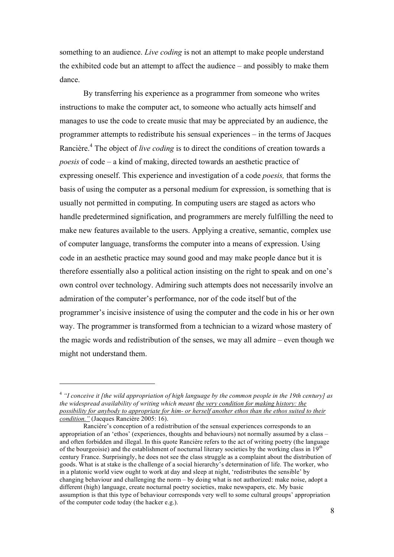something to an audience. *Live coding* is not an attempt to make people understand the exhibited code but an attempt to affect the audience – and possibly to make them dance.

By transferring his experience as a programmer from someone who writes instructions to make the computer act, to someone who actually acts himself and manages to use the code to create music that may be appreciated by an audience, the programmer attempts to redistribute his sensual experiences – in the terms of Jacques Rancière. <sup>4</sup> The object of *live coding* is to direct the conditions of creation towards a *poesis* of code – a kind of making, directed towards an aesthetic practice of expressing oneself. This experience and investigation of a code *poesis,* that forms the basis of using the computer as a personal medium for expression, is something that is usually not permitted in computing. In computing users are staged as actors who handle predetermined signification, and programmers are merely fulfilling the need to make new features available to the users. Applying a creative, semantic, complex use of computer language, transforms the computer into a means of expression. Using code in an aesthetic practice may sound good and may make people dance but it is therefore essentially also a political action insisting on the right to speak and on one's own control over technology. Admiring such attempts does not necessarily involve an admiration of the computer's performance, nor of the code itself but of the programmer's incisive insistence of using the computer and the code in his or her own way. The programmer is transformed from a technician to a wizard whose mastery of the magic words and redistribution of the senses, we may all admire – even though we might not understand them.

 $\overline{a}$ 

<sup>&</sup>lt;sup>4</sup> "I conceive it *f*the wild appropriation of high language by the common people in the 19th century] as *the widespread availability of writing which meant the very condition for making history: the possibility for anybody to appropriate for him- or herself another ethos than the ethos suited to their condition."* (Jacques Rancière 2005: 16).

Rancière's conception of a redistribution of the sensual experiences corresponds to an appropriation of an 'ethos' (experiences, thoughts and behaviours) not normally assumed by a class – and often forbidden and illegal. In this quote Rancière refers to the act of writing poetry (the language of the bourgeoisie) and the establishment of nocturnal literary societies by the working class in  $19<sup>th</sup>$ century France. Surprisingly, he does not see the class struggle as a complaint about the distribution of goods. What is at stake is the challenge of a social hierarchy's determination of life. The worker, who in a platonic world view ought to work at day and sleep at night, 'redistributes the sensible' by changing behaviour and challenging the norm – by doing what is not authorized: make noise, adopt a different (high) language, create nocturnal poetry societies, make newspapers, etc. My basic assumption is that this type of behaviour corresponds very well to some cultural groups' appropriation of the computer code today (the hacker e.g.).